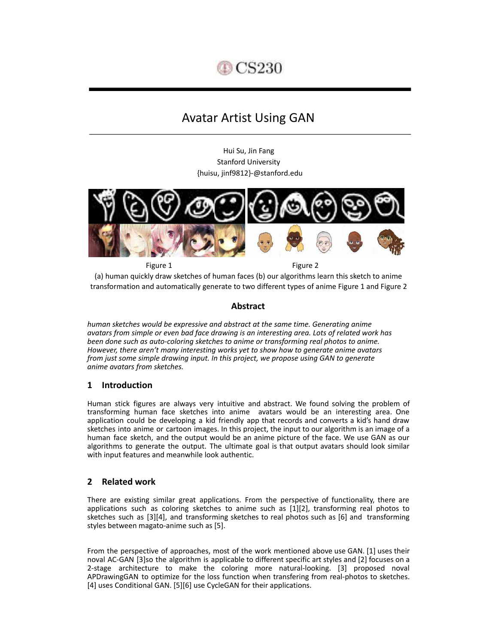

# Avatar Artist Using GAN

Hui Su, Jin Fang Stanford University {huisu, jinf9812}-@stanford.edu



Figure 1 Figure 2 (a) human quickly draw sketches of human faces (b) our algorithms learn this sketch to anime transformation and automatically generate to two different types of anime Figure 1 and Figure 2

# **Abstract**

*human sketches would be expressive and abstract at the same time. Generating anime avatars from simple or even bad face drawing is an interesting area. Lots of related work has been done such as auto-coloring sketches to anime or transforming real photos to anime. However, there aren't many interesting works yet to show how to generate anime avatars from just some simple drawing input. In this project, we propose using GAN to generate anime avatars from sketches.* 

# **1 Introduction**

Human stick figures are always very intuitive and abstract. We found solving the problem of transforming human face sketches into anime avatars would be an interesting area. One application could be developing a kid friendly app that records and converts a kid's hand draw sketches into anime or cartoon images. In this project, the input to our algorithm is an image of a human face sketch, and the output would be an anime picture of the face. We use GAN as our algorithms to generate the output. The ultimate goal is that output avatars should look similar with input features and meanwhile look authentic.

# **2 Related work**

There are existing similar great applications. From the perspective of functionality, there are applications such as coloring sketches to anime such as [1][2], transforming real photos to sketches such as  $[3][4]$ , and transforming sketches to real photos such as  $[6]$  and transforming styles between magato-anime such as [5].

From the perspective of approaches, most of the work mentioned above use GAN. [1] uses their noval AC-GAN [3]so the algorithm is applicable to different specific art styles and [2] focuses on a 2-stage architecture to make the coloring more natural-looking. [3] proposed noval APDrawingGAN to optimize for the loss function when transfering from real-photos to sketches. [4] uses Conditional GAN. [5][6] use CycleGAN for their applications.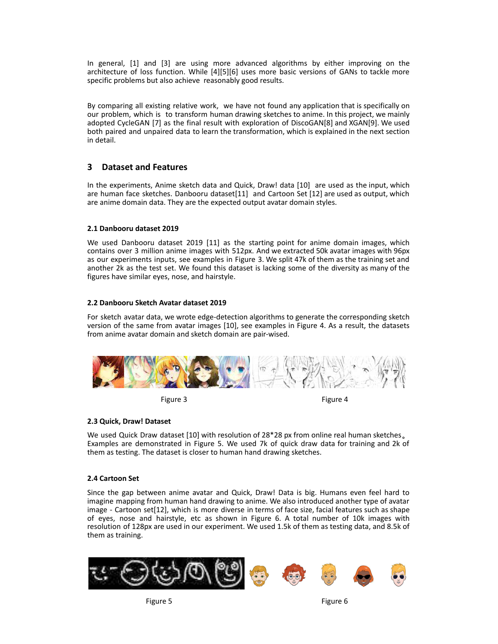In general, [1] and [3] are using more advanced algorithms by either improving on the architecture of loss function. While [4][5][6] uses more basic versions of GANs to tackle more specific problems but also achieve reasonably good results.

By comparing all existing relative work, we have not found any application that is specifically on our problem, which is to transform human drawing sketches to anime. In this project, we mainly adopted CycleGAN [7] as the final result with exploration of DiscoGAN[8] and XGAN[9]. We used both paired and unpaired data to learn the transformation, which is explained in the next section in detail.

# **3 Dataset and Features**

In the experiments, Anime sketch data and Quick, Draw! data [10] are used as the input, which are human face sketches. Danbooru dataset[11] and Cartoon Set [12] are used as output, which are anime domain data. They are the expected output avatar domain styles.

## **2.1 Danbooru dataset 2019**

We used Danbooru dataset 2019 [11] as the starting point for anime domain images, which contains over 3 million anime images with 512px. And we extracted 50k avatar images with 96px as our experiments inputs, see examples in Figure 3. We split 47k of them as the training set and another 2k as the test set. We found this dataset is lacking some of the diversity as many of the figures have similar eyes, nose, and hairstyle.

#### **2.2 Danbooru Sketch Avatar dataset 2019**

For sketch avatar data, we wrote edge-detection algorithms to generate the corresponding sketch version of the same from avatar images [10], see examples in Figure 4. As a result, the datasets from anime avatar domain and sketch domain are pair-wised.





## **2.3 Quick, Draw! Dataset**

We used Quick Draw dataset [10] with resolution of 28\*28 px from online real human sketches. Examples are demonstrated in Figure 5. We used 7k of quick draw data for training and 2k of them as testing. The dataset is closer to human hand drawing sketches.

#### **2.4 Cartoon Set**

Since the gap between anime avatar and Quick, Draw! Data is big. Humans even feel hard to imagine mapping from human hand drawing to anime. We also introduced another type of avatar image - Cartoon set[12], which is more diverse in terms of face size, facial features such as shape of eyes, nose and hairstyle, etc as shown in Figure 6. A total number of 10k images with resolution of 128px are used in our experiment. We used 1.5k of them as testing data, and 8.5k of them as training.

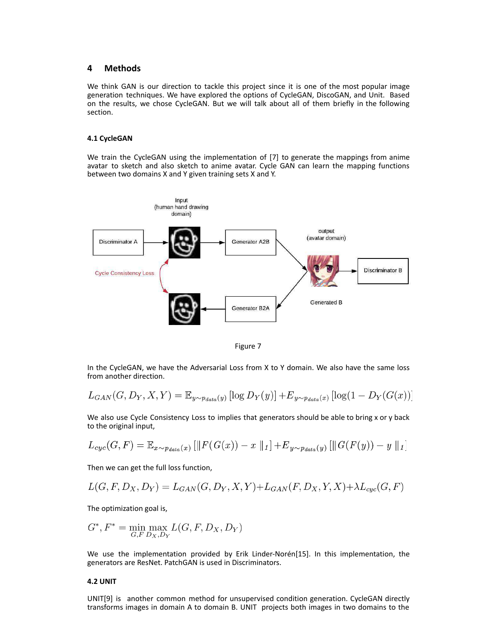### **4 Methods**

We think GAN is our direction to tackle this project since it is one of the most popular image generation techniques. We have explored the options of CycleGAN, DiscoGAN, and Unit. Based on the results, we chose CycleGAN. But we will talk about all of them briefly in the following section.

#### **4.1 CycleGAN**

We train the CycleGAN using the implementation of [7] to generate the mappings from anime avatar to sketch and also sketch to anime avatar . Cycle GAN can learn the mapping functions between two domains X and Y given training sets X and Y.



Figure 7

In the CycleGAN, we have the Adversarial Loss from X to Y domain. We also have the same loss from another direction.

$$
L_{GAN}(G, D_Y, X, Y) = \mathbb{E}_{y \sim p_{data}(y)} [\log D_Y(y)] + E_{y \sim p_{data}(x)} [\log(1 - D_Y(G(x)))]
$$

We also use Cycle Consistency Loss to implies that generators should be able to bring x or y back to the original input,

$$
L_{cyc}(G, F) = \mathbb{E}_{x \sim p_{data}(x)} [\|F(G(x)) - x\|_1] + E_{y \sim p_{data}(y)} [\|G(F(y)) - y\|_1]
$$

Then we can get the full loss function,

$$
L(G, F, D_X, D_Y) = L_{GAN}(G, D_Y, X, Y) + L_{GAN}(F, D_X, Y, X) + \lambda L_{cyc}(G, F)
$$

The optimization goal is,

$$
G^*, F^* = \min_{G, F} \max_{D_X, D_Y} L(G, F, D_X, D_Y)
$$

We use the implementation provided by Erik Linder-Norén[15]. In this implementation, the generators are ResNet. PatchGAN is used in Discriminators.

#### **4.2 UNIT**

UNIT[9] is another common method for unsupervised condition generation. CycleGAN directly transforms images in domain A to domain B. UNIT projects both images in two domains to the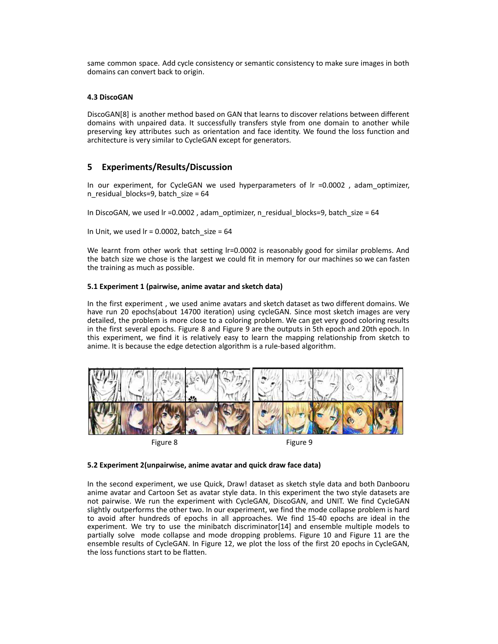same common space. Add cycle consistency or semantic consistency to make sure images in both domains can convert back to origin.

#### **4.3 DiscoGAN**

DiscoGAN[8] is another method based on GAN that learns to discover relations between different domains with unpaired data. It successfully transfers style from one domain to another while preserving key attributes such as orientation and face identity. We found the loss function and architecture is very similar to CycleGAN except for generators.

## **5 Experiments/Results/Discussion**

In our experiment, for CycleGAN we used hyperparameters of  $Ir = 0.0002$ , adam optimizer, n residual blocks=9, batch size =  $64$ 

In DiscoGAN, we used  $Ir = 0.0002$ , adam\_optimizer, n\_residual\_blocks=9, batch\_size = 64

In Unit, we used  $Ir = 0.0002$ , batch size = 64

We learnt from other work that setting lr=0.0002 is reasonably good for similar problems. And the batch size we chose is the largest we could fit in memory for our machines so we can fasten the training as much as possible.

#### **5.1 Experiment 1 (pairwise, anime avatar and sketch data)**

In the first experiment , we used anime avatars and sketch dataset as two different domains. We have run 20 epochs(about 14700 iteration) using cycleGAN. Since most sketch images are very detailed, the problem is more close to a coloring problem. We can get very good coloring results in the first several epochs. Figure 8 and Figure 9 are the outputs in 5th epoch and 20th epoch. In this experiment, we find it is relatively easy to learn the mapping relationship from sketch to anime. It is because the edge detection algorithm is a rule-based algorithm.



Figure 8 Figure 9

#### **5.2 Experiment 2(unpairwise, anime avatar and quick draw face data)**

In the second experiment, we use Quick, Draw! dataset as sketch style data and both Danbooru anime avatar and Cartoon Set as avatar style data. In this experiment the two style datasets are not pairwise. We run the experiment with CycleGAN, DiscoGAN, and UNIT. We find CycleGAN slightly outperforms the other two. In our experiment, we find the mode collapse problem is hard to avoid after hundreds of epochs in all approaches. We find 15-40 epochs are ideal in the experiment. We try to use the minibatch discriminator[14] and ensemble multiple models to partially solve mode collapse and mode dropping problems. Figure 10 and Figure 11 are the ensemble results of CycleGAN. In Figure 12, we plot the loss of the first 20 epochs in CycleGAN, the loss functions start to be flatten.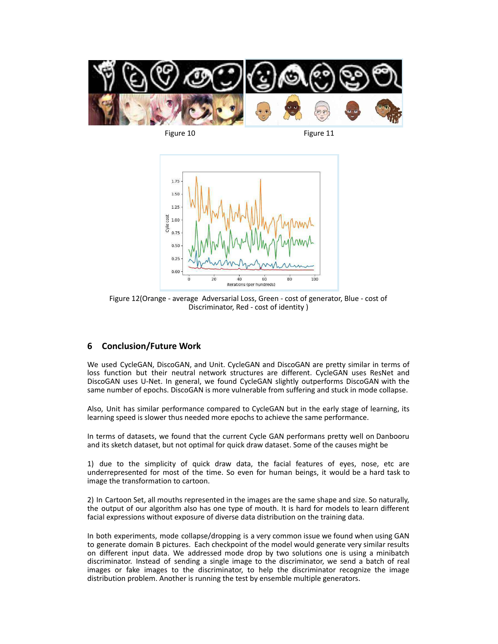

Figure 10 Figure 11



Figure 12(Orange - average Adversarial Loss, Green - cost of generator, Blue - cost of Discriminator, Red - cost of identity )

## **6 Conclusion/Future Work**

We used CycleGAN, DiscoGAN, and Unit. CycleGAN and DiscoGAN are pretty similar in terms of loss function but their neutral network structures are different. CycleGAN uses ResNet and DiscoGAN uses U-Net. In general, we found CycleGAN slightly outperforms DiscoGAN with the same number of epochs. DiscoGAN is more vulnerable from suffering and stuck in mode collapse.

Also, Unit has similar performance compared to CycleGAN but in the early stage of learning, its learning speed is slower thus needed more epochs to achieve the same performance.

In terms of datasets, we found that the current Cycle GAN performans pretty well on Danbooru and its sketch dataset, but not optimal for quick draw dataset. Some of the causes might be

1) due to the simplicity of quick draw data, the facial features of eyes, nose, etc are underrepresented for most of the time. So even for human beings, it would be a hard task to image the transformation to cartoon.

2) In Cartoon Set, all mouths represented in the images are the same shape and size. So naturally, the output of our algorithm also has one type of mouth. It is hard for models to learn different facial expressions without exposure of diverse data distribution on the training data.

In both experiments, mode collapse/dropping is a very common issue we found when using GAN to generate domain B pictures. Each checkpoint of the model would generate very similar results on different input data. We addressed mode drop by two solutions one is using a minibatch discriminator. Instead of sending a single image to the discriminator, we send a batch of real images or fake images to the discriminator, to help the discriminator recognize the image distribution problem. Another is running the test by ensemble multiple generators.